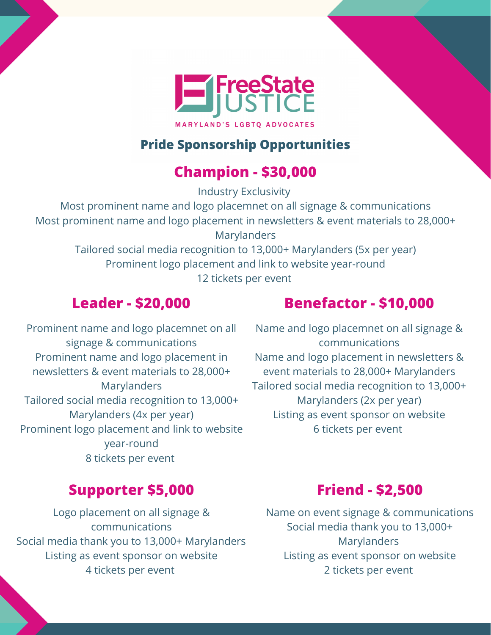

#### **Pride Sponsorship Opportunities**

## **Champion - \$30,000**

Industry Exclusivity

Most prominent name and logo placemnet on all signage & communications Most prominent name and logo placement in newsletters & event materials to 28,000+ Marylanders

Tailored social media recognition to 13,000+ Marylanders (5x per year) Prominent logo placement and link to website year-round 12 tickets per event

### **Leader - \$20,000**

# Prominent name and logo placemnet on all **Benefactor - \$10,000**

signage & communications Prominent name and logo placement in newsletters & event materials to 28,000+ **Marylanders** Tailored social media recognition to 13,000+ Marylanders (4x per year) Prominent logo placement and link to website year-round 8 tickets per event

Name and logo placemnet on all signage & communications Name and logo placement in newsletters & event materials to 28,000+ Marylanders Tailored social media recognition to 13,000+ Marylanders (2x per year) Listing as event sponsor on website 6 tickets per event

#### **Supporter \$5,000**

Logo placement on all signage & communications Social media thank you to 13,000+ Marylanders Listing as event sponsor on website 4 tickets per event

#### **Friend - \$2,500**

Name on event signage & communications Social media thank you to 13,000+ Marylanders Listing as event sponsor on website 2 tickets per event